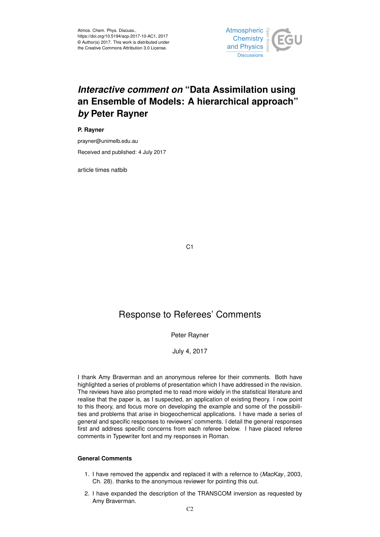

# *Interactive comment on* **"Data Assimilation using an Ensemble of Models: A hierarchical approach"** *by* **Peter Rayner**

**P. Rayner**

prayner@unimelb.edu.au Received and published: 4 July 2017

article times natbib

C<sub>1</sub>

## Response to Referees' Comments

## Peter Rayner

## July 4, 2017

I thank Amy Braverman and an anonymous referee for their comments. Both have highlighted a series of problems of presentation which I have addressed in the revision. The reviews have also prompted me to read more widely in the statistical literature and realise that the paper is, as I suspected, an application of existing theory. I now point to this theory, and focus more on developing the example and some of the possibilities and problems that arise in biogeochemical applications. I have made a series of general and specific responses to reviewers' comments. I detail the general responses first and address specific concerns from each referee below. I have placed referee comments in Typewriter font and my responses in Roman.

## **General Comments**

- 1. I have removed the appendix and replaced it with a refernce to (*MacKay*, 2003, Ch. 28). thanks to the anonymous reviewer for pointing this out.
- 2. I have expanded the description of the TRANSCOM inversion as requested by Amy Braverman.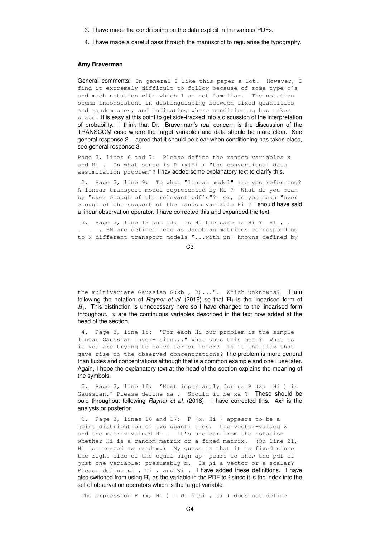- 3. I have made the conditioning on the data explicit in the various PDFs.
- 4. I have made a careful pass through the manuscript to regularise the typography.

#### **Amy Braverman**

General comments: In general I like this paper a lot. However, I find it extremely difficult to follow because of some type-o's and much notation with which I am not familiar. The notation seems inconsistent in distinguishing between fixed quantities and random ones, and indicating where conditioning has taken place. It is easy at this point to get side-tracked into a discussion of the interpretation of probability. I think that Dr. Braverman's real concern is the discussion of the TRANSCOM case where the target variables and data should be more clear. See general response 2. I agree that it should be clear when conditioning has taken place, see general response 3.

Page 3, lines 6 and 7: Please define the random variables x and Hi . In what sense is  $P(X|Hi)$  "the conventional data assimilation problem"? I hav added some explanatory text to clarify this.

2. Page 3, line 9: To what "linear model" are you referring? A linear transport model represented by Hi ? What do you mean by "over enough of the relevant pdf's"? Or, do you mean "over enough of the support of the random variable Hi ? I should have said a linear observation operator. I have corrected this and expanded the text.

3. Page 3, line 12 and 13: Is Hi the same as Hi ? H1 , . . . , HN are defined here as Jacobian matrices corresponding to N different transport models "...with un- knowns defined by

C3

the multivariate Gaussian  $G(xb, B)...$ ". Which unknowns? | am following the notation of *Rayner et al.* (2016) so that  $\mathbf{H}_i$  is the linearised form of  $H_i$ . This distinction is unnecessary here so I have changed to the linearised form throughout. x are the continuous variables described in the text now added at the head of the section.

4. Page 3, line 15: "For each Hi our problem is the simple linear Gaussian inver- sion..." What does this mean? What is it you are trying to solve for or infer? Is it the flux that gave rise to the observed concentrations? The problem is more general than fluxes and concentrations although that is a common example and one I use later. Again, I hope the explanatory text at the head of the section explains the meaning of the symbols.

5. Page 3, line 16: "Most importantly for us P (xa |Hi ) is Gaussian." Please define xa . Should it be xa ? These should be bold throughout following *Rayner et al.* (2016). I have corrected this. 4x<sup>a</sup> is the analysis or posterior.

6. Page 3, lines 16 and 17: P (x, Hi ) appears to be a joint distribution of two quanti ties: the vector-valued x and the matrix-valued Hi . It's unclear from the notation whether Hi is a random matrix or a fixed matrix. (On line 21, Hi is treated as random.) My guess is that it is fixed since the right side of the equal sign ap- pears to show the pdf of just one variable; presumably x. Is  $\mu$ i a vector or a scalar? Please define  $\mu i$  , Ui , and Wi . I have added these definitions. I have also switched from using  $H_i$  as the variable in the PDF to i since it is the index into the set of observation operators which is the target variable.

The expression P  $(x, Hi) = Wi G(\mu i, Wi)$  does not define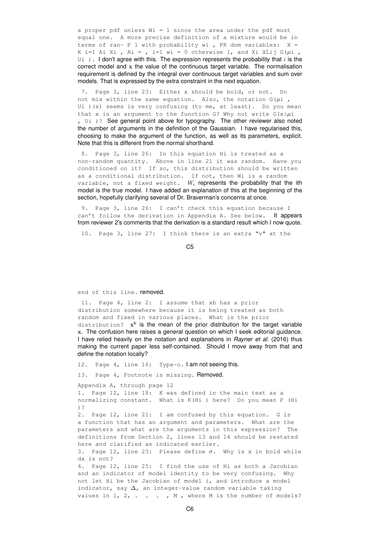a proper pdf unless Wi = 1 since the area under the pdf must equal one. A more precise definition of a mixture would be in terms of ran- P 1 with probability wi , PK dom variables:  $X =$ K i=1 Ai Xi , Ai = , i=1 wi = 0 otherwise 1, and Xi â $\tilde{L}$ ij G( $\mu$ i ,  $U_i$  ). I don't agree with this. The expression represents the probability that i is the correct model and  $x$  the value of the continuous target variable. The normalisation requirement is defined by the integral over continuous target variables and sum over models. That is expressed by the extra constraint in the next equation.

7. Page 3, line 23: Either x should be bold, or not. Do not mix within the same equation. Also, the notation  $G(\mu i)$ , Ui ) (x) seems is very confusing (to me, at least). Do you mean that x is an argument to the function G? Why not write  $G(x|\mu)$ , Ui )? See general point above for typography. The other reviewer also noted the number of arguments in the definition of the Gaussian. I have regularised this, choosing to make the argument of the function, as well as its parameters, explicit. Note that this is different from the normal shorthand.

8. Page 3, line 26: In this equation Hi is treated as a non-random quantity. Above in line 21 it was random. Have you conditioned on it? If so, this distribution should be written as a conditional distribution. If not, then Wi is a random variable, not a fixed weight.  $W_i$  represents the probability that the ith model is the true model. I have added an explanation of this at the beginning of the section, hopefully clarifying several of Dr. Braverman's concerns at once.

9. Page 3, line 26: I can't check this equation because I can't follow the derivation in Appendix A. See below. It appears from reviewer 2's comments that the derivation is a standard result which I now quote.

10. Page 3, line 27: I think there is an extra "v" at the

C5

end of this line. removed.

11. Page 4, line 2: I assume that xb has a prior distribution somewhere because it is being treated as both random and fixed in various places. What is the prior distribution?  $x^b$  is the mean of the prior distribution for the target variable x. The confusion here raises a general question on which I seek editorial guidance. I have relied heavily on the notation and explanations in *Rayner et al.* (2016) thus making the current paper less self-contained. Should I move away from that and define the notation locally?

12. Page 4, line 16: Type-o. I am not seeing this.

13. Page 4, Footnote is missing. Removed.

Appendix A, through page 12

1. Page 12, line 18: K was defined in the main text as a normalizing constant. What is K(Hi ) here? Do you mean P (Hi )?

2. Page 12, line 21: I am confused by this equation. G is a function that has an argument and parameters. What are the parameters and what are the arguments in this expression? The definitions from Section 2, lines 13 and 14 should be restated here and clarified as indicated earlier.

3. Page 12, line 23: Please define  $\sigma$ . Why is x in bold while dx is not?

4. Page 12, line 25: I find the use of Hi as both a Jacobian and an indicator of model identity to be very confusing. Why not let Hi be the Jacobian of model i, and introduce a model indicator, say  $\Delta$ , an integer-value random variable taking values in  $1, 2, \ldots$ , M, where M is the number of models?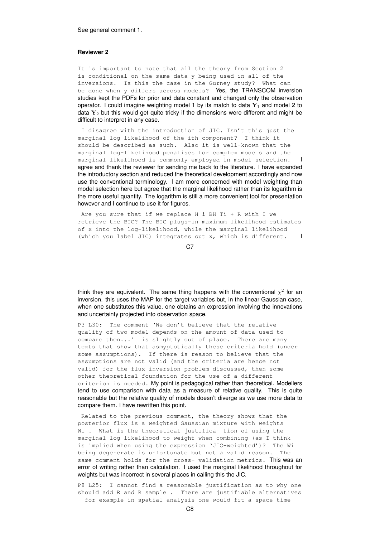#### See general comment 1.

#### **Reviewer 2**

It is important to note that all the theory from Section 2 is conditional on the same data y being used in all of the inversions. Is this the case in the Gurney study? What can be done when y differs across models? Yes, the TRANSCOM inversion studies kept the PDFs for prior and data constant and changed only the observation operator. I could imagine weighting model 1 by its match to data  $Y_1$  and model 2 to data  $Y_2$  but this would get quite tricky if the dimensions were different and might be difficult to interpret in any case.

I disagree with the introduction of JIC. Isn't this just the marginal log-likelihood of the ith component? I think it should be described as such. Also it is well-known that the marginal log-likelihood penalises for complex models and the marginal likelihood is commonly employed in model selection. agree and thank the reviewer for sending me back to the literature. I have expanded the introductory section and reduced the theoretical development accordingly and now use the conventional terminology. I am more concerned with model weighting than model selection here but agree that the marginal likelihood rather than its logarithm is the more useful quantity. The logarithm is still a more convenient tool for presentation however and I continue to use it for figures.

Are you sure that if we replace H i BH Ti + R with I we retrieve the BIC? The BIC plugs-in maximum likelihood estimates of x into the log-likelihood, while the marginal likelihood (which you label JIC) integrates out x, which is different.

C<sub>7</sub>

think they are equivalent. The same thing happens with the conventional  $\chi^2$  for an inversion. this uses the MAP for the target variables but, in the linear Gaussian case, when one substitutes this value, one obtains an expression involving the innovations and uncertainty projected into observation space.

P3 L30: The comment 'We don't believe that the relative quality of two model depends on the amount of data used to compare then...' is slightly out of place. There are many texts that show that asmyptotically these criteria hold (under some assumptions). If there is reason to believe that the assumptions are not valid (and the criteria are hence not valid) for the flux inversion problem discussed, then some other theoretical foundation for the use of a different criterion is needed. My point is pedagogical rather than theoretical. Modellers tend to use comparison with data as a measure of relative quality. This is quite reasonable but the relative quality of models doesn't diverge as we use more data to compare them. I have rewritten this point.

Related to the previous comment, the theory shows that the posterior flux is a weighted Gaussian mixture with weights Wi . What is the theoretical justifica- tion of using the marginal log-likelihood to weight when combining (as I think is implied when using the expression 'JIC-weighted')? The Wi being degenerate is unfortunate but not a valid reason. The same comment holds for the cross- validation metrics. This was an error of writing rather than calculation. I used the marginal likelihood throughout for weights but was incorrect in several places in calling this the JIC.

P8 L25: I cannot find a reasonable justification as to why one should add R and R sample . There are justifiable alternatives - for example in spatial analysis one would fit a space-time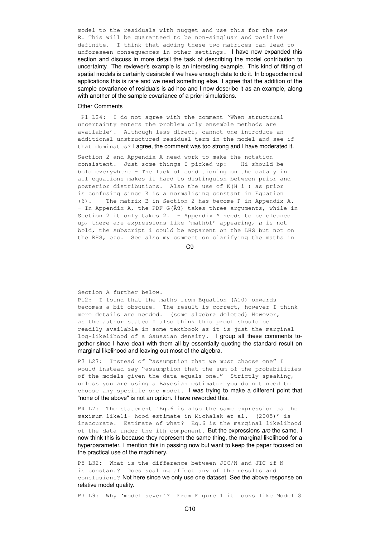model to the residuals with nugget and use this for the new R. This will be guaranteed to be non-singluar and positive definite. I think that adding these two matrices can lead to unforeseen consequences in other settings. I have now expanded this section and discuss in more detail the task of describing the model contribution to uncertainty. The reviewer's example is an interesting example. This kind of fitting of spatial models is certainly desirable if we have enough data to do it. In biogeochemical applications this is rare and we need something else. I agree that the addition of the sample covariance of residuals is ad hoc and I now describe it as an example, along with another of the sample covariance of a priori simulations.

#### Other Comments

P1 L24: I do not agree with the comment 'When structural uncertainty enters the problem only ensemble methods are available'. Although less direct, cannot one introduce an additional unstructured residual term in the model and see if that dominates? I agree, the comment was too strong and I have moderated it.

Section 2 and Appendix A need work to make the notation consistent. Just some things I picked up: - Hi should be bold everywhere - The lack of conditioning on the data y in all equations makes it hard to distinguish between prior and posterior distributions. Also the use of K(H i ) as prior is confusing since K is a normalising constant in Equation (6). - The matrix B in Section 2 has become P in Appendix A.  $-$  In Appendix A, the PDF G( $\hat{A}$ ů) takes three arguments, while in Section 2 it only takes 2. - Appendix A needs to be cleaned up, there are expressions like 'mathbf' appearing,  $\mu$  is not bold, the subscript i could be apparent on the LHS but not on the RHS, etc. See also my comment on clarifying the maths in

C9

Section A further below.

P12: I found that the maths from Equation (A10) onwards becomes a bit obscure. The result is correct, however I think more details are needed. (some algebra deleted) However, as the author stated I also think this proof should be readily available in some textbook as it is just the marginal log-likelihood of a Gaussian density. I group all these comments together since I have dealt with them all by essentially quoting the standard result on marginal likelihood and leaving out most of the algebra.

P3 L27: Instead of "assumption that we must choose one" I would instead say "assumption that the sum of the probabilities of the models given the data equals one." Strictly speaking, unless you are using a Bayesian estimator you do not need to choose any specific one model. I was trying to make a different point that "none of the above" is not an option. I have reworded this.

P4 L7: The statement 'Eq.6 is also the same expression as the maximum likeli- hood estimate in Michalak et al. (2005)' is inaccurate. Estimate of what? Eq.6 is the marginal likelihood of the data under the ith component. But the expressions *are* the same. I now think this is because they represent the same thing, the marginal likelihood for a hyperparameter. I mention this in passing now but want to keep the paper focused on the practical use of the machinery.

P5 L32: What is the difference between JIC/N and JIC if N is constant? Does scaling affect any of the results and conclusions? Not here since we only use one dataset. See the above response on relative model quality.

P7 L9: Why 'model seven'? From Figure 1 it looks like Model 8